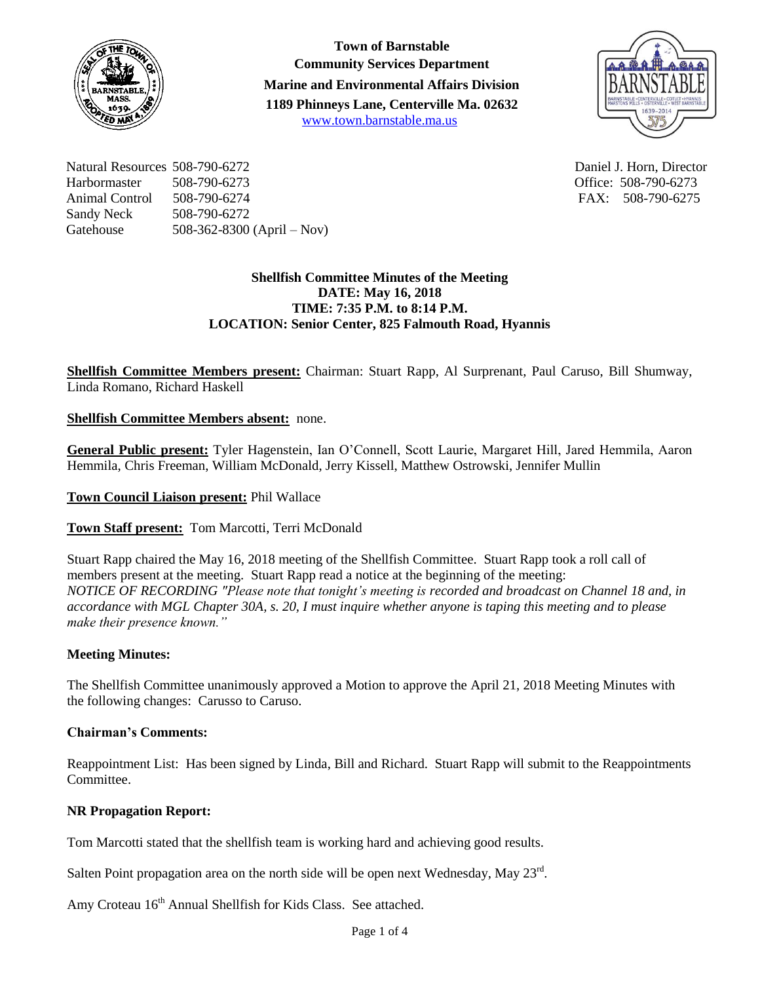

**Town of Barnstable Community Services Department Marine and Environmental Affairs Division 1189 Phinneys Lane, Centerville Ma. 02632** [www.town.barnstable.ma.us](http://www.town.barnstable.ma.us/)



Natural Resources 508-790-6272 Daniel J. Horn, Director Harbormaster 508-790-6273 Office: 508-790-6273 Animal Control 508-790-6274 FAX: 508-790-6275 Sandy Neck 508-790-6272 Gatehouse 508-362-8300 (April – Nov)

## **Shellfish Committee Minutes of the Meeting DATE: May 16, 2018 TIME: 7:35 P.M. to 8:14 P.M. LOCATION: Senior Center, 825 Falmouth Road, Hyannis**

**Shellfish Committee Members present:** Chairman: Stuart Rapp, Al Surprenant, Paul Caruso, Bill Shumway, Linda Romano, Richard Haskell

**Shellfish Committee Members absent:** none.

**General Public present:** Tyler Hagenstein, Ian O'Connell, Scott Laurie, Margaret Hill, Jared Hemmila, Aaron Hemmila, Chris Freeman, William McDonald, Jerry Kissell, Matthew Ostrowski, Jennifer Mullin

**Town Council Liaison present:** Phil Wallace

**Town Staff present:** Tom Marcotti, Terri McDonald

Stuart Rapp chaired the May 16, 2018 meeting of the Shellfish Committee. Stuart Rapp took a roll call of members present at the meeting. Stuart Rapp read a notice at the beginning of the meeting: *NOTICE OF RECORDING "Please note that tonight's meeting is recorded and broadcast on Channel 18 and, in accordance with MGL Chapter 30A, s. 20, I must inquire whether anyone is taping this meeting and to please make their presence known."*

# **Meeting Minutes:**

The Shellfish Committee unanimously approved a Motion to approve the April 21, 2018 Meeting Minutes with the following changes: Carusso to Caruso.

### **Chairman's Comments:**

Reappointment List: Has been signed by Linda, Bill and Richard. Stuart Rapp will submit to the Reappointments Committee.

### **NR Propagation Report:**

Tom Marcotti stated that the shellfish team is working hard and achieving good results.

Salten Point propagation area on the north side will be open next Wednesday, May  $23<sup>rd</sup>$ .

Amy Croteau 16<sup>th</sup> Annual Shellfish for Kids Class. See attached.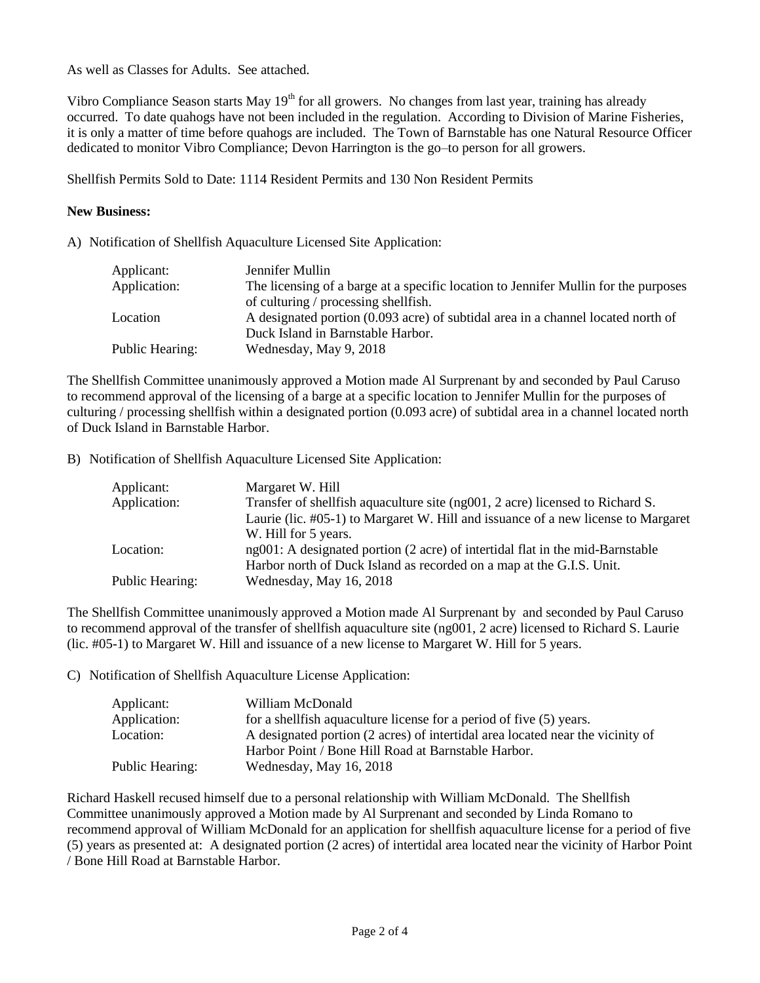As well as Classes for Adults. See attached.

Vibro Compliance Season starts May  $19<sup>th</sup>$  for all growers. No changes from last year, training has already occurred. To date quahogs have not been included in the regulation. According to Division of Marine Fisheries, it is only a matter of time before quahogs are included. The Town of Barnstable has one Natural Resource Officer dedicated to monitor Vibro Compliance; Devon Harrington is the go–to person for all growers.

Shellfish Permits Sold to Date: 1114 Resident Permits and 130 Non Resident Permits

#### **New Business:**

A) Notification of Shellfish Aquaculture Licensed Site Application:

| Applicant:      | Jennifer Mullin                                                                     |
|-----------------|-------------------------------------------------------------------------------------|
| Application:    | The licensing of a barge at a specific location to Jennifer Mullin for the purposes |
|                 | of culturing / processing shellfish.                                                |
| Location        | A designated portion (0.093 acre) of subtidal area in a channel located north of    |
|                 | Duck Island in Barnstable Harbor.                                                   |
| Public Hearing: | Wednesday, May 9, 2018                                                              |

The Shellfish Committee unanimously approved a Motion made Al Surprenant by and seconded by Paul Caruso to recommend approval of the licensing of a barge at a specific location to Jennifer Mullin for the purposes of culturing / processing shellfish within a designated portion (0.093 acre) of subtidal area in a channel located north of Duck Island in Barnstable Harbor.

B) Notification of Shellfish Aquaculture Licensed Site Application:

| Applicant:      | Margaret W. Hill                                                                  |
|-----------------|-----------------------------------------------------------------------------------|
| Application:    | Transfer of shell fish aquaculture site (ng001, 2 acre) licensed to Richard S.    |
|                 | Laurie (lic. #05-1) to Margaret W. Hill and issuance of a new license to Margaret |
|                 | W. Hill for 5 years.                                                              |
| Location:       | ng001: A designated portion (2 acre) of intertidal flat in the mid-Barnstable     |
|                 | Harbor north of Duck Island as recorded on a map at the G.I.S. Unit.              |
| Public Hearing: | Wednesday, May 16, 2018                                                           |

The Shellfish Committee unanimously approved a Motion made Al Surprenant by and seconded by Paul Caruso to recommend approval of the transfer of shellfish aquaculture site (ng001, 2 acre) licensed to Richard S. Laurie (lic. #05-1) to Margaret W. Hill and issuance of a new license to Margaret W. Hill for 5 years.

C) Notification of Shellfish Aquaculture License Application:

| Applicant:      | William McDonald                                                               |
|-----------------|--------------------------------------------------------------------------------|
| Application:    | for a shell fish aguaculture license for a period of five (5) years.           |
| Location:       | A designated portion (2 acres) of intertidal area located near the vicinity of |
|                 | Harbor Point / Bone Hill Road at Barnstable Harbor.                            |
| Public Hearing: | Wednesday, May 16, 2018                                                        |

Richard Haskell recused himself due to a personal relationship with William McDonald. The Shellfish Committee unanimously approved a Motion made by Al Surprenant and seconded by Linda Romano to recommend approval of William McDonald for an application for shellfish aquaculture license for a period of five (5) years as presented at: A designated portion (2 acres) of intertidal area located near the vicinity of Harbor Point / Bone Hill Road at Barnstable Harbor.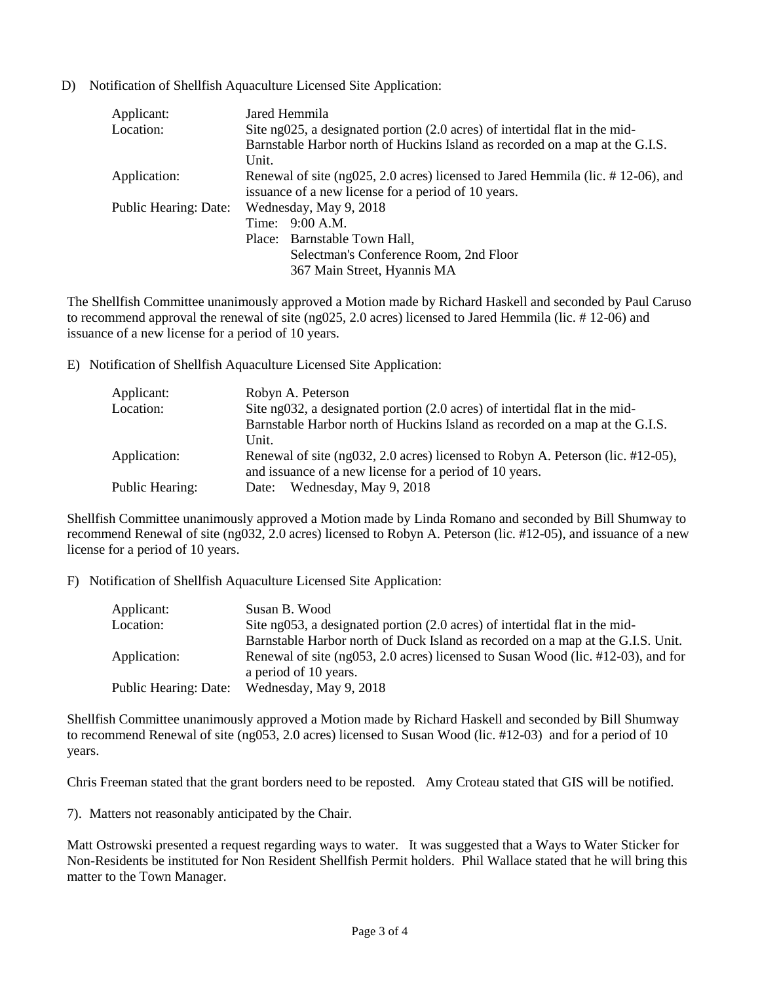D) Notification of Shellfish Aquaculture Licensed Site Application:

| Jared Hemmila                                                                   |
|---------------------------------------------------------------------------------|
| Site ng025, a designated portion (2.0 acres) of intertidal flat in the mid-     |
| Barnstable Harbor north of Huckins Island as recorded on a map at the G.I.S.    |
| Unit.                                                                           |
| Renewal of site (ng025, 2.0 acres) licensed to Jared Hemmila (lic. #12-06), and |
| issuance of a new license for a period of 10 years.                             |
| Wednesday, May 9, 2018                                                          |
| Time: 9:00 A.M.                                                                 |
| Place: Barnstable Town Hall,                                                    |
| Selectman's Conference Room, 2nd Floor                                          |
| 367 Main Street, Hyannis MA                                                     |
|                                                                                 |

The Shellfish Committee unanimously approved a Motion made by Richard Haskell and seconded by Paul Caruso to recommend approval the renewal of site (ng025, 2.0 acres) licensed to Jared Hemmila (lic. # 12-06) and issuance of a new license for a period of 10 years.

E) Notification of Shellfish Aquaculture Licensed Site Application:

| Applicant:      | Robyn A. Peterson                                                                                                                                    |
|-----------------|------------------------------------------------------------------------------------------------------------------------------------------------------|
| Location:       | Site ng032, a designated portion (2.0 acres) of intertidal flat in the mid-                                                                          |
|                 | Barnstable Harbor north of Huckins Island as recorded on a map at the G.I.S.                                                                         |
|                 | Unit.                                                                                                                                                |
| Application:    | Renewal of site $(ng032, 2.0 \text{ acres})$ licensed to Robyn A. Peterson (lic. #12-05),<br>and issuance of a new license for a period of 10 years. |
| Public Hearing: | Wednesday, May 9, 2018<br>Date:                                                                                                                      |

Shellfish Committee unanimously approved a Motion made by Linda Romano and seconded by Bill Shumway to recommend Renewal of site (ng032, 2.0 acres) licensed to Robyn A. Peterson (lic. #12-05), and issuance of a new license for a period of 10 years.

F) Notification of Shellfish Aquaculture Licensed Site Application:

| Applicant:            | Susan B. Wood                                                                    |
|-----------------------|----------------------------------------------------------------------------------|
| Location:             | Site ng053, a designated portion (2.0 acres) of intertidal flat in the mid-      |
|                       | Barnstable Harbor north of Duck Island as recorded on a map at the G.I.S. Unit.  |
| Application:          | Renewal of site (ng053, 2.0 acres) licensed to Susan Wood (lic. #12-03), and for |
|                       | a period of 10 years.                                                            |
| Public Hearing: Date: | Wednesday, May 9, 2018                                                           |

Shellfish Committee unanimously approved a Motion made by Richard Haskell and seconded by Bill Shumway to recommend Renewal of site (ng053, 2.0 acres) licensed to Susan Wood (lic. #12-03) and for a period of 10 years.

Chris Freeman stated that the grant borders need to be reposted. Amy Croteau stated that GIS will be notified.

7). Matters not reasonably anticipated by the Chair.

Matt Ostrowski presented a request regarding ways to water. It was suggested that a Ways to Water Sticker for Non-Residents be instituted for Non Resident Shellfish Permit holders. Phil Wallace stated that he will bring this matter to the Town Manager.